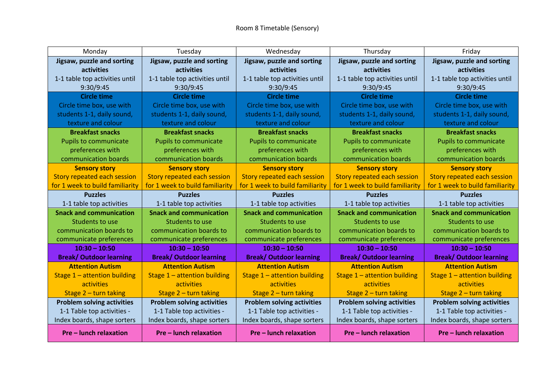| Monday                             | Tuesday                            | Wednesday                          | Thursday                           | Friday                            |
|------------------------------------|------------------------------------|------------------------------------|------------------------------------|-----------------------------------|
| Jigsaw, puzzle and sorting         | Jigsaw, puzzle and sorting         | Jigsaw, puzzle and sorting         | Jigsaw, puzzle and sorting         | Jigsaw, puzzle and sorting        |
| <b>activities</b>                  | <b>activities</b>                  | activities                         | activities                         | activities                        |
| 1-1 table top activities until     | 1-1 table top activities until     | 1-1 table top activities until     | 1-1 table top activities until     | 1-1 table top activities until    |
| 9:30/9:45                          | 9:30/9:45                          | 9:30/9:45                          | 9:30/9:45                          | 9:30/9:45                         |
| <b>Circle time</b>                 | <b>Circle time</b>                 | Circle time                        | <b>Circle time</b>                 | <b>Circle time</b>                |
| Circle time box, use with          | Circle time box, use with          | Circle time box, use with          | Circle time box, use with          | Circle time box, use with         |
| students 1-1, daily sound,         | students 1-1, daily sound,         | students 1-1, daily sound,         | students 1-1, daily sound,         | students 1-1, daily sound,        |
| texture and colour                 | texture and colour                 | texture and colour                 | texture and colour                 | texture and colour                |
| <b>Breakfast snacks</b>            | <b>Breakfast snacks</b>            | <b>Breakfast snacks</b>            | <b>Breakfast snacks</b>            | <b>Breakfast snacks</b>           |
| <b>Pupils to communicate</b>       | <b>Pupils to communicate</b>       | <b>Pupils to communicate</b>       | <b>Pupils to communicate</b>       | <b>Pupils to communicate</b>      |
| preferences with                   | preferences with                   | preferences with                   | preferences with                   | preferences with                  |
| communication boards               | communication boards               | communication boards               | communication boards               | communication boards              |
| <b>Sensory story</b>               | <b>Sensory story</b>               | <b>Sensory story</b>               | <b>Sensory story</b>               | <b>Sensory story</b>              |
| <b>Story repeated each session</b> | <b>Story repeated each session</b> | <b>Story repeated each session</b> | <b>Story repeated each session</b> | Story repeated each session       |
| for 1 week to build familiarity    | for 1 week to build familiarity    | for 1 week to build familiarity    | for 1 week to build familiarity    | for 1 week to build familiarity   |
| <b>Puzzles</b>                     | <b>Puzzles</b>                     | <b>Puzzles</b>                     | <b>Puzzles</b>                     | <b>Puzzles</b>                    |
| 1-1 table top activities           | 1-1 table top activities           | 1-1 table top activities           | 1-1 table top activities           | 1-1 table top activities          |
| <b>Snack and communication</b>     | <b>Snack and communication</b>     | <b>Snack and communication</b>     | <b>Snack and communication</b>     | <b>Snack and communication</b>    |
| Students to use                    | Students to use                    | Students to use                    | Students to use                    | Students to use                   |
| communication boards to            | communication boards to            | communication boards to            | communication boards to            | communication boards to           |
| communicate preferences            | communicate preferences            | communicate preferences            | communicate preferences            | communicate preferences           |
| $10:30 - 10:50$                    | $10:30 - 10:50$                    | $10:30 - 10:50$                    | $10:30 - 10:50$                    | $10:30 - 10:50$                   |
| <b>Break/ Outdoor learning</b>     | <b>Break/ Outdoor learning</b>     | <b>Break/ Outdoor learning</b>     | <b>Break/ Outdoor learning</b>     | <b>Break/ Outdoor learning</b>    |
| <b>Attention Autism</b>            | <b>Attention Autism</b>            | <b>Attention Autism</b>            | <b>Attention Autism</b>            | <b>Attention Autism</b>           |
| Stage 1 - attention building       | Stage $1$ – attention building     | Stage $1$ – attention building     | Stage $1$ – attention building     | Stage $1$ – attention building    |
| activities                         | activities                         | activities                         | activities                         | activities                        |
| Stage $2$ – turn taking            | Stage $2$ – turn taking            | Stage $2$ – turn taking            | Stage $2$ – turn taking            | Stage $2$ – turn taking           |
| <b>Problem solving activities</b>  | <b>Problem solving activities</b>  | <b>Problem solving activities</b>  | <b>Problem solving activities</b>  | <b>Problem solving activities</b> |
| 1-1 Table top activities -         | 1-1 Table top activities -         | 1-1 Table top activities -         | 1-1 Table top activities -         | 1-1 Table top activities -        |
| Index boards, shape sorters        | Index boards, shape sorters        | Index boards, shape sorters        | Index boards, shape sorters        | Index boards, shape sorters       |
| Pre – lunch relaxation             | <b>Pre-lunch relaxation</b>        | Pre – lunch relaxation             | <b>Pre – lunch relaxation</b>      | <b>Pre-lunch relaxation</b>       |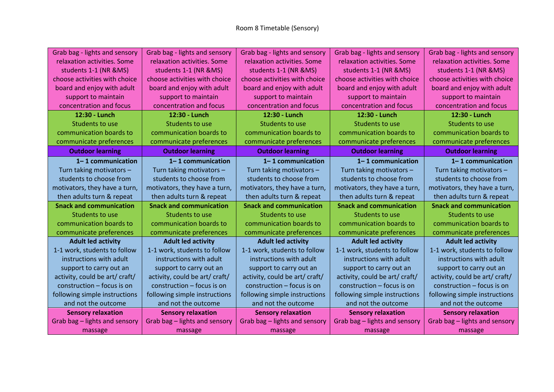| Grab bag - lights and sensory  | Grab bag - lights and sensory  | Grab bag - lights and sensory  | Grab bag - lights and sensory  | Grab bag - lights and sensory  |
|--------------------------------|--------------------------------|--------------------------------|--------------------------------|--------------------------------|
| relaxation activities. Some    | relaxation activities. Some    | relaxation activities. Some    | relaxation activities. Some    | relaxation activities. Some    |
| students 1-1 (NR &MS)          | students 1-1 (NR &MS)          | students 1-1 (NR &MS)          | students 1-1 (NR &MS)          | students 1-1 (NR &MS)          |
| choose activities with choice  | choose activities with choice  | choose activities with choice  | choose activities with choice  | choose activities with choice  |
| board and enjoy with adult     | board and enjoy with adult     | board and enjoy with adult     | board and enjoy with adult     | board and enjoy with adult     |
| support to maintain            | support to maintain            | support to maintain            | support to maintain            | support to maintain            |
| concentration and focus        | concentration and focus        | concentration and focus        | concentration and focus        | concentration and focus        |
| 12:30 - Lunch                  | 12:30 - Lunch                  | 12:30 - Lunch                  | 12:30 - Lunch                  | 12:30 - Lunch                  |
| Students to use                | Students to use                | Students to use                | Students to use                | Students to use                |
| communication boards to        | communication boards to        | communication boards to        | communication boards to        | communication boards to        |
| communicate preferences        | communicate preferences        | communicate preferences        | communicate preferences        | communicate preferences        |
| <b>Outdoor learning</b>        | <b>Outdoor learning</b>        | <b>Outdoor learning</b>        | <b>Outdoor learning</b>        | <b>Outdoor learning</b>        |
| $1 - 1$ communication          | 1-1 communication              | 1-1 communication              | 1-1 communication              | $1 - 1$ communication          |
| Turn taking motivators -       | Turn taking motivators -       | Turn taking motivators -       | Turn taking motivators -       | Turn taking motivators -       |
| students to choose from        | students to choose from        | students to choose from        | students to choose from        | students to choose from        |
| motivators, they have a turn,  | motivators, they have a turn,  | motivators, they have a turn,  | motivators, they have a turn,  | motivators, they have a turn,  |
| then adults turn & repeat      | then adults turn & repeat      | then adults turn & repeat      | then adults turn & repeat      | then adults turn & repeat      |
| <b>Snack and communication</b> | <b>Snack and communication</b> | <b>Snack and communication</b> | <b>Snack and communication</b> | <b>Snack and communication</b> |
| Students to use                | Students to use                | Students to use                | Students to use                | Students to use                |
| communication boards to        | communication boards to        | communication boards to        | communication boards to        | communication boards to        |
| communicate preferences        | communicate preferences        | communicate preferences        | communicate preferences        | communicate preferences        |
| <b>Adult led activity</b>      | <b>Adult led activity</b>      | <b>Adult led activity</b>      | <b>Adult led activity</b>      | <b>Adult led activity</b>      |
| 1-1 work, students to follow   | 1-1 work, students to follow   | 1-1 work, students to follow   | 1-1 work, students to follow   | 1-1 work, students to follow   |
| instructions with adult        | instructions with adult        | instructions with adult        | instructions with adult        | instructions with adult        |
| support to carry out an        | support to carry out an        | support to carry out an        | support to carry out an        | support to carry out an        |
| activity, could be art/ craft/ | activity, could be art/ craft/ | activity, could be art/ craft/ | activity, could be art/ craft/ | activity, could be art/ craft/ |
| construction - focus is on     | construction - focus is on     | construction - focus is on     | construction - focus is on     | construction - focus is on     |
| following simple instructions  | following simple instructions  | following simple instructions  | following simple instructions  | following simple instructions  |
| and not the outcome            | and not the outcome            | and not the outcome            | and not the outcome            | and not the outcome            |
| <b>Sensory relaxation</b>      | <b>Sensory relaxation</b>      | <b>Sensory relaxation</b>      | <b>Sensory relaxation</b>      | <b>Sensory relaxation</b>      |
| Grab bag - lights and sensory  | Grab bag - lights and sensory  | Grab bag - lights and sensory  | Grab bag - lights and sensory  | Grab bag - lights and sensory  |
| massage                        | massage                        | massage                        | massage                        | massage                        |